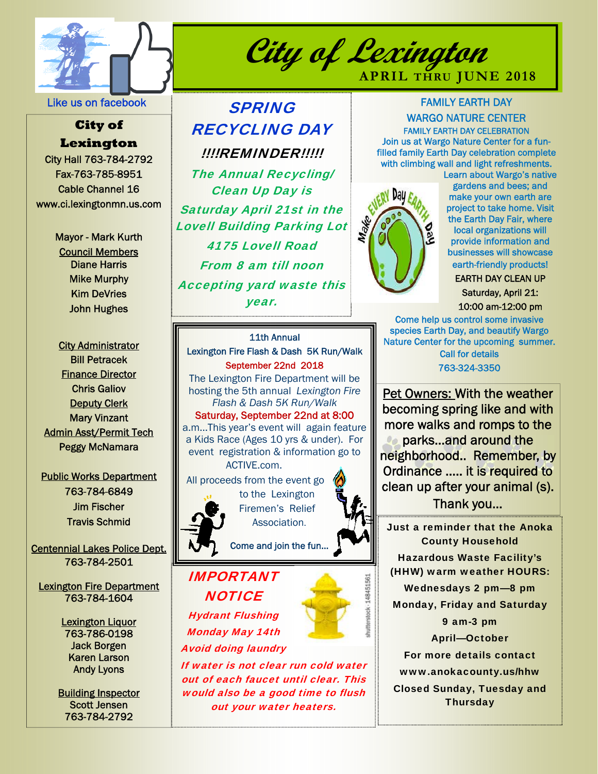

Like us on facebook

### **City of Lexington**

City Hall 763-784-2792 Fax-763-785-8951 Cable Channel 16 www.ci.lexingtonmn.us.com

> Mayor - Mark Kurth Council Members Diane Harris Mike Murphy Kim DeVries John Hughes

City Administrator Bill Petracek Finance Director Chris Galiov **Deputy Clerk** Mary Vinzant Admin Asst/Permit Tech Peggy McNamara

#### Public Works Department 763-784-6849 Jim Fischer Travis Schmid

Centennial Lakes Police Dept. 763-784-2501

Lexington Fire Department 763-784-1604

> Lexington Liquor 763-786-0198 Jack Borgen Karen Larson Andy Lyons

Building Inspector Scott Jensen 763-784-2792

# SPRING RECYCLING DAY !!!!REMINDER!!!!!

The Annual Recycling/ Clean Up Day is Saturday April 21st in the Lovell Building Parking Lot 4175 Lovell Road From 8 am till noon Accepting yard waste this year.

### FAMILY EARTH DAY WARGO NATURE CENTER

**APRIL THRU JUNE 2018** 

FAMILY EARTH DAY CELEBRATION Join us at Wargo Nature Center for a funfilled family Earth Day celebration complete with climbing wall and light refreshments.



**City of Lexington** 

Learn about Wargo's native gardens and bees; and make your own earth are project to take home. Visit the Earth Day Fair, where local organizations will provide information and businesses will showcase earth-friendly products!

EARTH DAY CLEAN UP

Saturday, April 21: 10:00 am-12:00 pm

Come help us control some invasive species Earth Day, and beautify Wargo Nature Center for the upcoming summer. Call for details 763-324-3350

Pet Owners: With the weather becoming spring like and with more walks and romps to the parks…and around the neighborhood.. Remember, by Ordinance ….. it is required to clean up after your animal (s). Thank you…

Just a reminder that the Anoka County Household Hazardous Waste Facility's (HHW) warm weather HOURS: Wednesdays 2 pm—8 pm Monday, Friday and Saturday 9 am-3 pm April—October For more details contact www.anokacounty.us/hhw Closed Sunday, Tuesday and **Thursday** 

11th Annual Lexington Fire Flash & Dash 5K Run/Walk September 22nd 2018

The Lexington Fire Department will be hosting the 5th annual *Lexington Fire Flash & Dash 5K Run/Walk* Saturday, September 22nd at 8:00 a.m...This year's event will again feature a Kids Race (Ages 10 yrs & under). For event registration & information go to ACTIVE.com.

 All proceeds from the event go to the Lexington



Firemen's Relief Association.

Come and join the fun…

## IMPORTANT **NOTICE**

Hydrant Flushing Monday May 14th

Avoid doing laundry

If water is not clear run cold water out of each faucet until clear. This would also be a good time to flush out your water heaters.

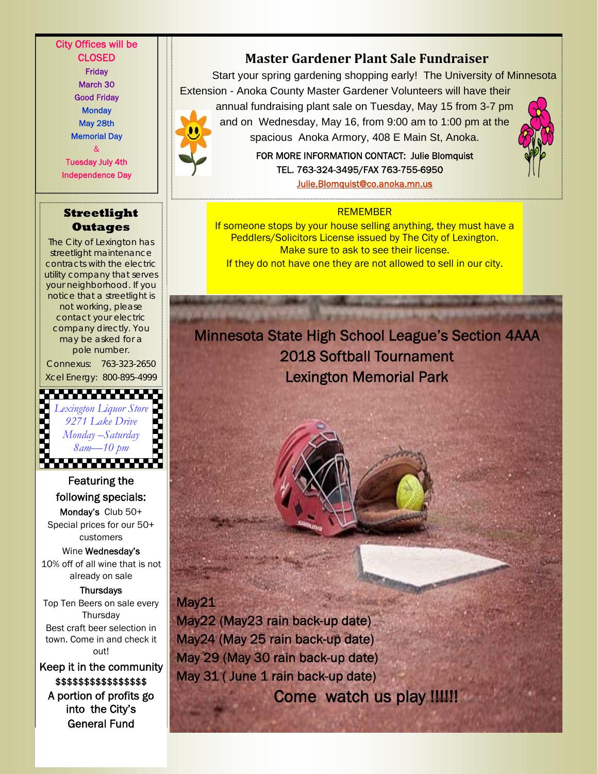City Offices will be CLOSED Friday March 30 Good Friday **Monday** May 28th Memorial Day & Tuesday July 4th

**Streetlight**  etlight | The Communication of the REMEMBER

Independence Day

**Outages**  The City of Lexington has streetlight maintenance contracts with the electric utility company that serves your neighborhood. If you notice that a streetlight is not working, please contact your electric company directly. You may be asked for a pole number.

Connexus: 763-323-2650 Xcel Energy: 800-895-4999



Featuring the following specials: Monday's Club 50+ Special prices for our 50+ customers

Wine Wednesday's 10% off of all wine that is not already on sale

**Thursdays** Top Ten Beers on sale every **Thursday** Best craft beer selection in town. Come in and check it out!

Keep it in the community \$\$\$\$\$\$\$\$\$\$\$\$\$\$\$\$ A portion of profits go into the City's General Fund

### **Master Gardener Plant Sale Fundraiser**

Start your spring gardening shopping early! The University of Minnesota Extension - Anoka County Master Gardener Volunteers will have their

annual fundraising plant sale on Tuesday, May 15 from 3-7 pm and on Wednesday, May 16, from 9:00 am to 1:00 pm at the spacious Anoka Armory, 408 E Main St, Anoka.

> FOR MORE INFORMATION CONTACT: Julie Blomquist TEL. 763-324-3495/FAX 763-755-6950 Julie.Blomquist@co.anoka.mn.us

If someone stops by your house selling anything, they must have a Peddlers/Solicitors License issued by The City of Lexington. Make sure to ask to see their license. If they do not have one they are not allowed to sell in our city.

# Minnesota State High School League's Section 4AAA 2018 Softball Tournament Lexington Memorial Park

I

May<sub>21</sub>

May22 (May23 rain back-up date) May24 (May 25 rain back-up date) May 29 (May 30 rain back-up date) May 31 ( June 1 rain back-up date) Come watch us play !!!!!!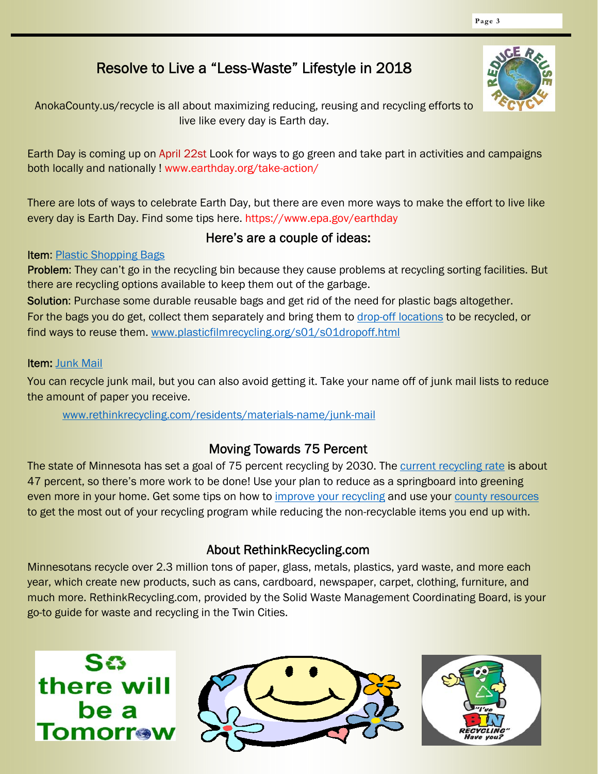# Resolve to Live a "Less-Waste" Lifestyle in 2018

AnokaCounty.us/recycle is all about maximizing reducing, reusing and recycling efforts to live like every day is Earth day.

Earth Day is coming up on April 22st Look for ways to go green and take part in activities and campaigns both locally and nationally ! www.earthday.org/take-action/

There are lots of ways to celebrate Earth Day, but there are even more ways to make the effort to live like every day is Earth Day. Find some tips here. https://www.epa.gov/earthday

#### Here's are a couple of ideas:

#### Item: Plastic Shopping Bags

Problem: They can't go in the recycling bin because they cause problems at recycling sorting facilities. But there are recycling options available to keep them out of the garbage.

Solution: Purchase some durable reusable bags and get rid of the need for plastic bags altogether. For the bags you do get, collect them separately and bring them to drop-off locations to be recycled, or find ways to reuse them. www.plasticfilmrecycling.org/s01/s01dropoff.html

#### Item: Junk Mail

You can recycle junk mail, but you can also avoid getting it. Take your name off of junk mail lists to reduce the amount of paper you receive.

www.rethinkrecycling.com/residents/materials-name/junk-mail

#### Moving Towards 75 Percent

The state of Minnesota has set a goal of 75 percent recycling by 2030. The current recycling rate is about 47 percent, so there's more work to be done! Use your plan to reduce as a springboard into greening even more in your home. Get some tips on how to improve your recycling and use your county resources to get the most out of your recycling program while reducing the non-recyclable items you end up with.

#### About RethinkRecycling.com

Minnesotans recycle over 2.3 million tons of paper, glass, metals, plastics, yard waste, and more each year, which create new products, such as cans, cardboard, newspaper, carpet, clothing, furniture, and much more. RethinkRecycling.com, provided by the Solid Waste Management Coordinating Board, is your go-to guide for waste and recycling in the Twin Cities.







**Page 3**